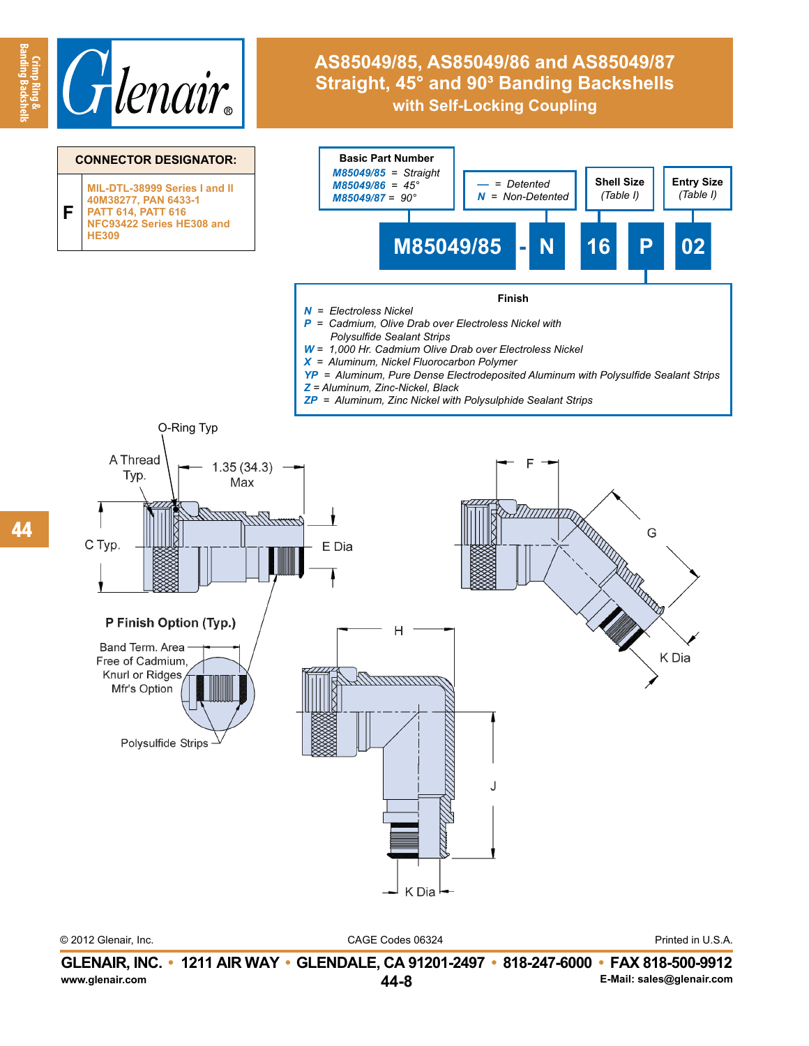

## **AS85049/85, AS85049/86 and AS85049/87 Straight, 45° and 90° Banding Backshells with Self-Locking Coupling**



CAGE Codes 06324 © 2012 Glenair, Inc. Printed in U.S.A.

**Banding Backshells**